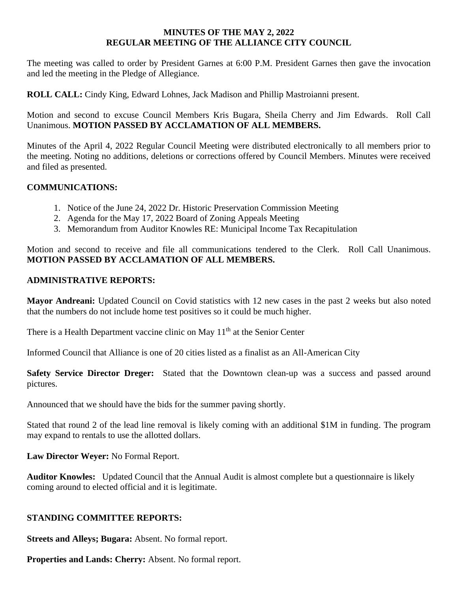### **MINUTES OF THE MAY 2, 2022 REGULAR MEETING OF THE ALLIANCE CITY COUNCIL**

The meeting was called to order by President Garnes at 6:00 P.M. President Garnes then gave the invocation and led the meeting in the Pledge of Allegiance.

**ROLL CALL:** Cindy King, Edward Lohnes, Jack Madison and Phillip Mastroianni present.

Motion and second to excuse Council Members Kris Bugara, Sheila Cherry and Jim Edwards. Roll Call Unanimous. **MOTION PASSED BY ACCLAMATION OF ALL MEMBERS.** 

Minutes of the April 4, 2022 Regular Council Meeting were distributed electronically to all members prior to the meeting. Noting no additions, deletions or corrections offered by Council Members. Minutes were received and filed as presented.

### **COMMUNICATIONS:**

- 1. Notice of the June 24, 2022 Dr. Historic Preservation Commission Meeting
- 2. Agenda for the May 17, 2022 Board of Zoning Appeals Meeting
- 3. Memorandum from Auditor Knowles RE: Municipal Income Tax Recapitulation

Motion and second to receive and file all communications tendered to the Clerk. Roll Call Unanimous. **MOTION PASSED BY ACCLAMATION OF ALL MEMBERS.** 

#### **ADMINISTRATIVE REPORTS:**

**Mayor Andreani:** Updated Council on Covid statistics with 12 new cases in the past 2 weeks but also noted that the numbers do not include home test positives so it could be much higher.

There is a Health Department vaccine clinic on May  $11<sup>th</sup>$  at the Senior Center

Informed Council that Alliance is one of 20 cities listed as a finalist as an All-American City

**Safety Service Director Dreger:** Stated that the Downtown clean-up was a success and passed around pictures.

Announced that we should have the bids for the summer paving shortly.

Stated that round 2 of the lead line removal is likely coming with an additional \$1M in funding. The program may expand to rentals to use the allotted dollars.

**Law Director Weyer:** No Formal Report.

**Auditor Knowles:** Updated Council that the Annual Audit is almost complete but a questionnaire is likely coming around to elected official and it is legitimate.

#### **STANDING COMMITTEE REPORTS:**

**Streets and Alleys; Bugara:** Absent. No formal report.

**Properties and Lands: Cherry:** Absent. No formal report.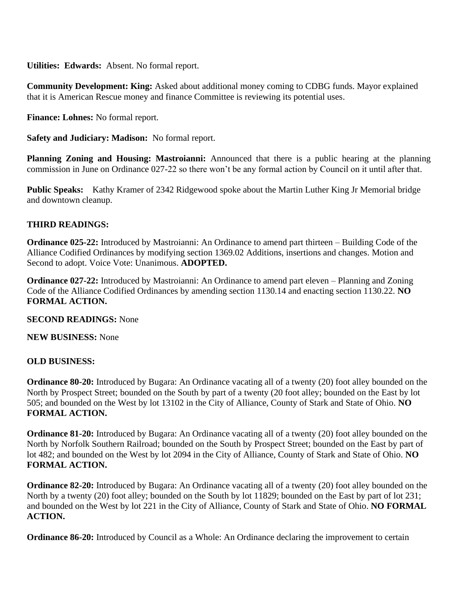**Utilities: Edwards:** Absent. No formal report.

**Community Development: King:** Asked about additional money coming to CDBG funds. Mayor explained that it is American Rescue money and finance Committee is reviewing its potential uses.

**Finance: Lohnes:** No formal report.

**Safety and Judiciary: Madison:** No formal report.

**Planning Zoning and Housing: Mastroianni:** Announced that there is a public hearing at the planning commission in June on Ordinance 027-22 so there won't be any formal action by Council on it until after that.

**Public Speaks:** Kathy Kramer of 2342 Ridgewood spoke about the Martin Luther King Jr Memorial bridge and downtown cleanup.

## **THIRD READINGS:**

**Ordinance 025-22:** Introduced by Mastroianni: An Ordinance to amend part thirteen – Building Code of the Alliance Codified Ordinances by modifying section 1369.02 Additions, insertions and changes. Motion and Second to adopt. Voice Vote: Unanimous. **ADOPTED.**

**Ordinance 027-22:** Introduced by Mastroianni: An Ordinance to amend part eleven – Planning and Zoning Code of the Alliance Codified Ordinances by amending section 1130.14 and enacting section 1130.22. **NO FORMAL ACTION.**

**SECOND READINGS:** None

**NEW BUSINESS:** None

## **OLD BUSINESS:**

**Ordinance 80-20:** Introduced by Bugara: An Ordinance vacating all of a twenty (20) foot alley bounded on the North by Prospect Street; bounded on the South by part of a twenty (20 foot alley; bounded on the East by lot 505; and bounded on the West by lot 13102 in the City of Alliance, County of Stark and State of Ohio. **NO FORMAL ACTION.**

**Ordinance 81-20:** Introduced by Bugara: An Ordinance vacating all of a twenty (20) foot alley bounded on the North by Norfolk Southern Railroad; bounded on the South by Prospect Street; bounded on the East by part of lot 482; and bounded on the West by lot 2094 in the City of Alliance, County of Stark and State of Ohio. **NO FORMAL ACTION.**

**Ordinance 82-20:** Introduced by Bugara: An Ordinance vacating all of a twenty (20) foot alley bounded on the North by a twenty (20) foot alley; bounded on the South by lot 11829; bounded on the East by part of lot 231; and bounded on the West by lot 221 in the City of Alliance, County of Stark and State of Ohio. **NO FORMAL ACTION.**

**Ordinance 86-20:** Introduced by Council as a Whole: An Ordinance declaring the improvement to certain